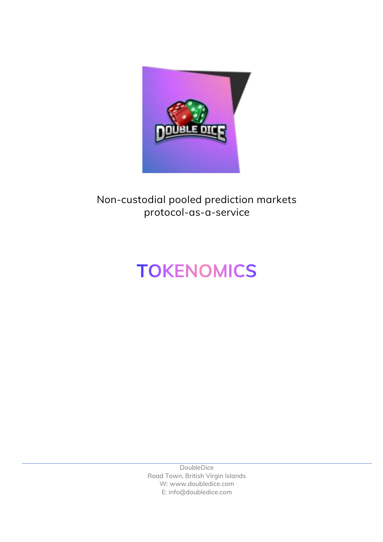

## **Non-custodial pooled prediction markets protocol-as-a-service**

# **TOKENOMICS**

DoubleDice Road Town, British Virgin Islands W: www.doubledice.com E: info@doubledice.com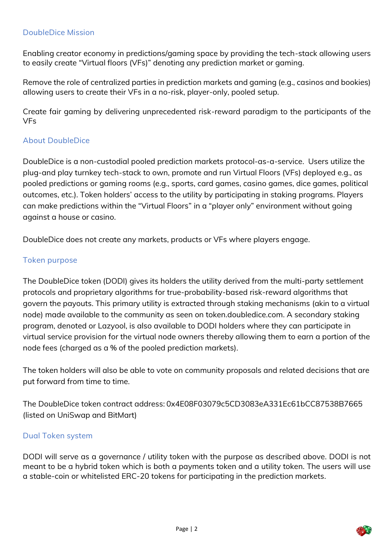#### **DoubleDice Mission**

Enabling creator economy in predictions/gaming space by providing the tech-stack allowing users to easily create "Virtual floors (VFs)" denoting any prediction market or gaming.

Remove the role of centralized parties in prediction markets and gaming (e.g., casinos and bookies) allowing users to create their VFs in a no-risk, player-only, pooled setup.

Create fair gaming by delivering unprecedented risk-reward paradigm to the participants of the VFs

#### **About DoubleDice**

DoubleDice is a non-custodial pooled prediction markets protocol-as-a-service. Users utilize the plug-and play turnkey tech-stack to own, promote and run Virtual Floors (VFs) deployed e.g., as pooled predictions or gaming rooms (e.g., sports, card games, casino games, dice games, political outcomes, etc.). Token holders' access to the utility by participating in staking programs. Players can make predictions within the "Virtual Floors" in a "player only" environment without going against a house or casino.

DoubleDice does not create any markets, products or VFs where players engage.

#### **Token purpose**

The DoubleDice token (DODI) gives its holders the utility derived from the multi-party settlement protocols and proprietary algorithms for true-probability-based risk-reward algorithms that govern the payouts. This primary utility is extracted through staking mechanisms (akin to a virtual node) made available to the community as seen on token.doubledice.com. A secondary staking program, denoted or Lazyool, is also available to DODI holders where they can participate in virtual service provision for the virtual node owners thereby allowing them to earn a portion of the node fees (charged as a % of the pooled prediction markets).

The token holders will also be able to vote on community proposals and related decisions that are put forward from time to time.

The DoubleDice token contract address: 0x4E08F03079c5CD3083eA331Ec61bCC87538B7665 (listed on UniSwap and BitMart)

#### **Dual Token system**

DODI will serve as a governance / utility token with the purpose as described above. DODI is not meant to be a hybrid token which is both a payments token and a utility token. The users will use a stable-coin or whitelisted ERC-20 tokens for participating in the prediction markets.